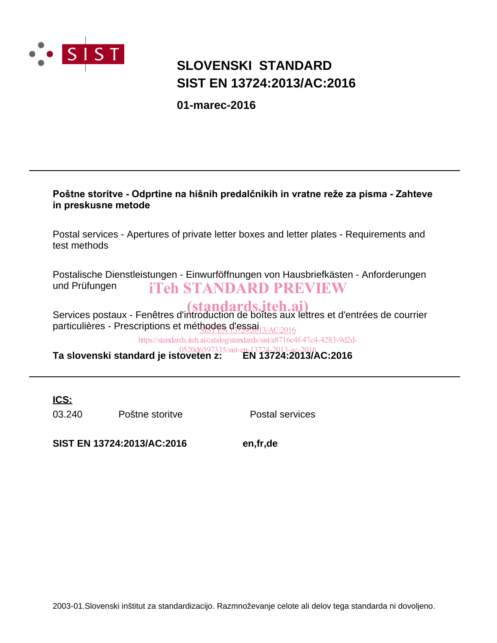

## **SIST EN 13724:2013/AC:2016 SLOVENSKI STANDARD**

**01-marec-2016**

### Poštne storitve - Odprtine na hišnih predalčnikih in vratne reže za pisma - Zahteve in preskusne metode

Postal services - Apertures of private letter boxes and letter plates - Requirements and test methods

Postalische Dienstleistungen - Einwurföffnungen von Hausbriefkästen - Anforderungen und Prüfungen iTeh STANDARD PREVIEW

Services postaux - Fenêtres d'introduction de boîtes aux lettres et d'entrées de courrier particulières - Prescriptions et mét<u>hodes d'essai<sub>13/AC:2016</u></u></sub>

https://standards.iteh.ai/catalog/standards/sist/a8716c4f-47c4-4283-9d2d-

**Ta slovenski standard je istoveten z: EN 13724:2013/AC:2016** 0520d6597335/sist-en-13724-2013-ac-2016

**ICS:**

03.240 Poštne storitve Postal services

**SIST EN 13724:2013/AC:2016 en,fr,de**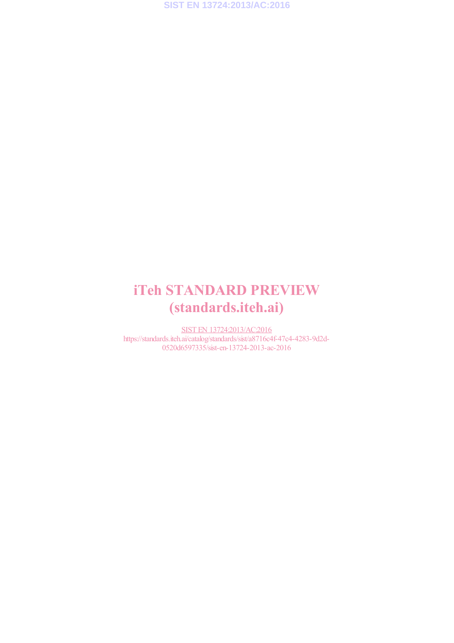## iTeh STANDARD PREVIEW (standards.iteh.ai)

SIST EN 13724:2013/AC:2016 https://standards.iteh.ai/catalog/standards/sist/a8716c4f-47c4-4283-9d2d-0520d6597335/sist-en-13724-2013-ac-2016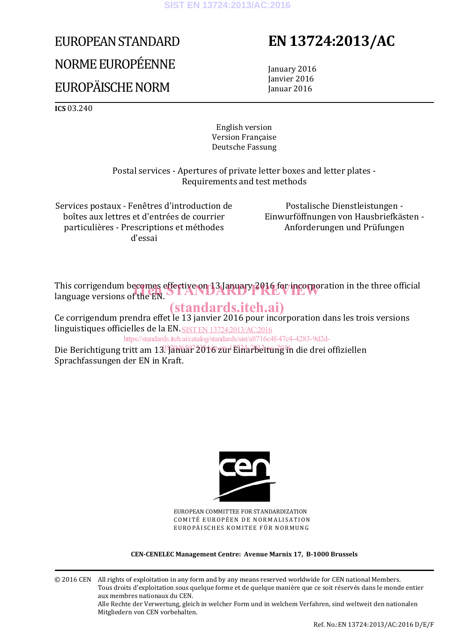### **SIST EN 13724:2013/AC:2016**

# EUROPEAN STANDARD NORME EUROPÉENNE EUROPÄISCHE NORM

## **EN 13724:2013/AC**

 January 2016 Janvier 2016 Januar 2016

**ICS** 03.240

English version Version Française Deutsche Fassung

 Postal services - Apertures of private letter boxes and letter plates - Requirements and test methods

Services postaux - Fenêtres d'introduction de boîtes aux lettres et d'entrées de courrier particulières - Prescriptions et méthodes d'essai

 Postalische Dienstleistungen - Einwurföffnungen von Hausbriefkästen - Anforderungen und Prüfungen

This corrigendum becomes effective on 13 January 2016 for incorporation in the three official<br>language versions of the EN. language versions of the EN. STAT

### (standards.iteh.ai)

Ce corrigendum prendra effet le 13 janvier 2016 pour incorporation dans les trois versions linguistiques officielles de la EN. SIST EN 13724:2013/AC:2016 https://standards.iteh.ai/catalog/standards/sist/a8716c4f-47c4-4283-9d2d-

Die Berichtigung tritt am 13. <del>Januar 2016 zur Einarbeitung in</del> die drei offiziellen

Sprachfassungen der EN in Kraft.



EUROPEAN COMMITTEE FOR STANDARDIZATION COMITÉ EUROPÉEN DE NORMALISATION EUROPÄISCHES KOMITEE FÜR NORMUNG

#### **CEN-CENELEC Management Centre: Avenue Marnix 17, B-1000 Brussels**

© 2016 CEN All rights of exploitation in any form and by any means reserved worldwide for CEN national Members. Tous droits d'exploitation sous quelque forme et de quelque manière que ce soit réservés dans le monde entier aux membres nationaux du CEN. Alle Rechte der Verwertung, gleich in welcher Form und in welchem Verfahren, sind weltweit den nationalen Mitgliedern von CEN vorbehalten.